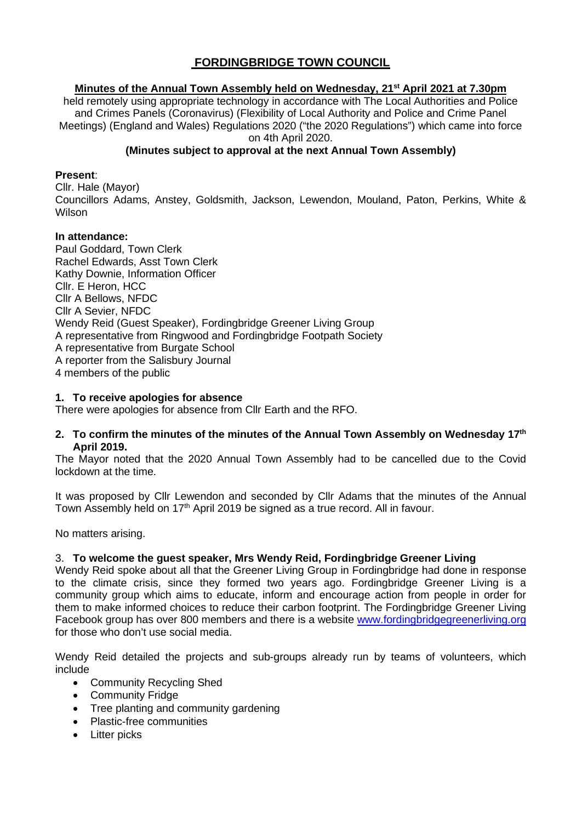# **FORDINGBRIDGE TOWN COUNCIL**

#### **Minutes of the Annual Town Assembly held on Wednesday, 21st April 2021 at 7.30pm**

held remotely using appropriate technology in accordance with The Local Authorities and Police and Crimes Panels (Coronavirus) (Flexibility of Local Authority and Police and Crime Panel Meetings) (England and Wales) Regulations 2020 ("the 2020 Regulations") which came into force on 4th April 2020.

#### **(Minutes subject to approval at the next Annual Town Assembly)**

#### **Present**:

Cllr. Hale (Mayor) Councillors Adams, Anstey, Goldsmith, Jackson, Lewendon, Mouland, Paton, Perkins, White & **Wilson** 

#### **In attendance:**

Paul Goddard, Town Clerk Rachel Edwards, Asst Town Clerk Kathy Downie, Information Officer Cllr. E Heron, HCC Cllr A Bellows, NFDC Cllr A Sevier, NFDC Wendy Reid (Guest Speaker), Fordingbridge Greener Living Group A representative from Ringwood and Fordingbridge Footpath Society A representative from Burgate School A reporter from the Salisbury Journal 4 members of the public

#### **1. To receive apologies for absence**

There were apologies for absence from Cllr Earth and the RFO.

#### **2. To confirm the minutes of the minutes of the Annual Town Assembly on Wednesday 17th April 2019.**

The Mayor noted that the 2020 Annual Town Assembly had to be cancelled due to the Covid lockdown at the time.

It was proposed by Cllr Lewendon and seconded by Cllr Adams that the minutes of the Annual Town Assembly held on 17<sup>th</sup> April 2019 be signed as a true record. All in favour.

No matters arising.

#### 3. **To welcome the guest speaker, Mrs Wendy Reid, Fordingbridge Greener Living**

Wendy Reid spoke about all that the Greener Living Group in Fordingbridge had done in response to the climate crisis, since they formed two years ago. Fordingbridge Greener Living is a community group which aims to educate, inform and encourage action from people in order for them to make informed choices to reduce their carbon footprint. The Fordingbridge Greener Living Facebook group has over 800 members and there is a website [www.fordingbridgegreenerliving.org](http://www.fordingbridgegreenerliving.org/)  for those who don't use social media.

Wendy Reid detailed the projects and sub-groups already run by teams of volunteers, which include

- Community Recycling Shed
- Community Fridge
- Tree planting and community gardening
- Plastic-free communities
- Litter picks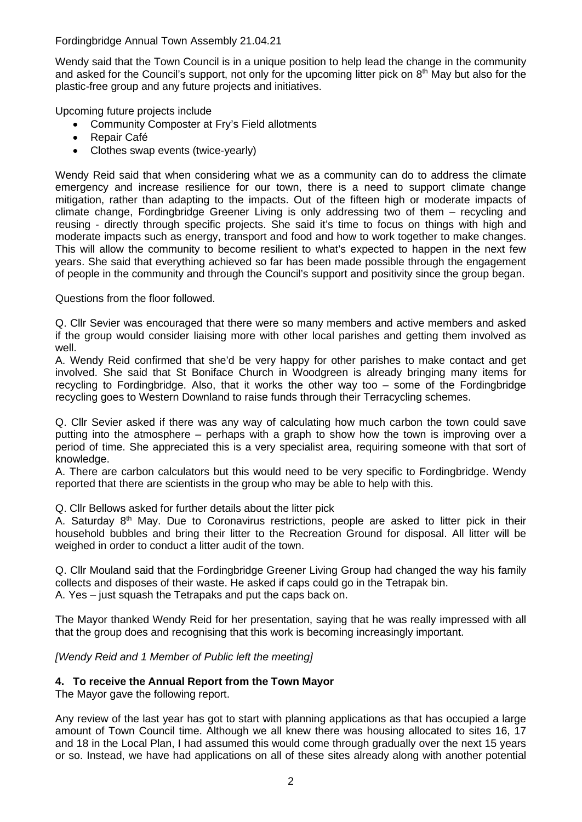Wendy said that the Town Council is in a unique position to help lead the change in the community and asked for the Council's support, not only for the upcoming litter pick on  $8<sup>th</sup>$  May but also for the plastic-free group and any future projects and initiatives.

Upcoming future projects include

- Community Composter at Fry's Field allotments
- Repair Café
- Clothes swap events (twice-yearly)

Wendy Reid said that when considering what we as a community can do to address the climate emergency and increase resilience for our town, there is a need to support climate change mitigation, rather than adapting to the impacts. Out of the fifteen high or moderate impacts of climate change, Fordingbridge Greener Living is only addressing two of them – recycling and reusing - directly through specific projects. She said it's time to focus on things with high and moderate impacts such as energy, transport and food and how to work together to make changes. This will allow the community to become resilient to what's expected to happen in the next few years. She said that everything achieved so far has been made possible through the engagement of people in the community and through the Council's support and positivity since the group began.

Questions from the floor followed.

Q. Cllr Sevier was encouraged that there were so many members and active members and asked if the group would consider liaising more with other local parishes and getting them involved as well.

A. Wendy Reid confirmed that she'd be very happy for other parishes to make contact and get involved. She said that St Boniface Church in Woodgreen is already bringing many items for recycling to Fordingbridge. Also, that it works the other way too – some of the Fordingbridge recycling goes to Western Downland to raise funds through their Terracycling schemes.

Q. Cllr Sevier asked if there was any way of calculating how much carbon the town could save putting into the atmosphere – perhaps with a graph to show how the town is improving over a period of time. She appreciated this is a very specialist area, requiring someone with that sort of knowledge.

A. There are carbon calculators but this would need to be very specific to Fordingbridge. Wendy reported that there are scientists in the group who may be able to help with this.

Q. Cllr Bellows asked for further details about the litter pick

A. Saturday  $8<sup>th</sup>$  May. Due to Coronavirus restrictions, people are asked to litter pick in their household bubbles and bring their litter to the Recreation Ground for disposal. All litter will be weighed in order to conduct a litter audit of the town.

Q. Cllr Mouland said that the Fordingbridge Greener Living Group had changed the way his family collects and disposes of their waste. He asked if caps could go in the Tetrapak bin. A. Yes – just squash the Tetrapaks and put the caps back on.

The Mayor thanked Wendy Reid for her presentation, saying that he was really impressed with all that the group does and recognising that this work is becoming increasingly important.

*[Wendy Reid and 1 Member of Public left the meeting]* 

#### **4. To receive the Annual Report from the Town Mayor**

The Mayor gave the following report.

Any review of the last year has got to start with planning applications as that has occupied a large amount of Town Council time. Although we all knew there was housing allocated to sites 16, 17 and 18 in the Local Plan, I had assumed this would come through gradually over the next 15 years or so. Instead, we have had applications on all of these sites already along with another potential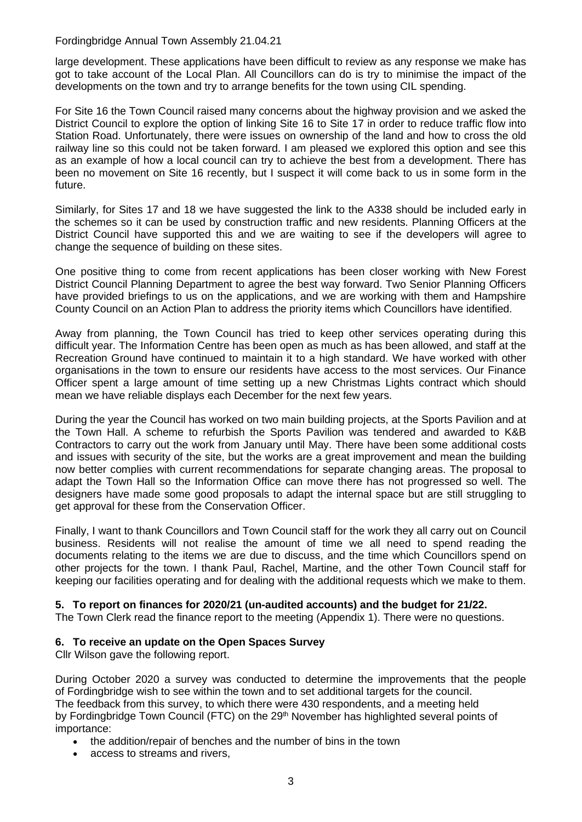large development. These applications have been difficult to review as any response we make has got to take account of the Local Plan. All Councillors can do is try to minimise the impact of the developments on the town and try to arrange benefits for the town using CIL spending.

For Site 16 the Town Council raised many concerns about the highway provision and we asked the District Council to explore the option of linking Site 16 to Site 17 in order to reduce traffic flow into Station Road. Unfortunately, there were issues on ownership of the land and how to cross the old railway line so this could not be taken forward. I am pleased we explored this option and see this as an example of how a local council can try to achieve the best from a development. There has been no movement on Site 16 recently, but I suspect it will come back to us in some form in the future.

Similarly, for Sites 17 and 18 we have suggested the link to the A338 should be included early in the schemes so it can be used by construction traffic and new residents. Planning Officers at the District Council have supported this and we are waiting to see if the developers will agree to change the sequence of building on these sites.

One positive thing to come from recent applications has been closer working with New Forest District Council Planning Department to agree the best way forward. Two Senior Planning Officers have provided briefings to us on the applications, and we are working with them and Hampshire County Council on an Action Plan to address the priority items which Councillors have identified.

Away from planning, the Town Council has tried to keep other services operating during this difficult year. The Information Centre has been open as much as has been allowed, and staff at the Recreation Ground have continued to maintain it to a high standard. We have worked with other organisations in the town to ensure our residents have access to the most services. Our Finance Officer spent a large amount of time setting up a new Christmas Lights contract which should mean we have reliable displays each December for the next few years.

During the year the Council has worked on two main building projects, at the Sports Pavilion and at the Town Hall. A scheme to refurbish the Sports Pavilion was tendered and awarded to K&B Contractors to carry out the work from January until May. There have been some additional costs and issues with security of the site, but the works are a great improvement and mean the building now better complies with current recommendations for separate changing areas. The proposal to adapt the Town Hall so the Information Office can move there has not progressed so well. The designers have made some good proposals to adapt the internal space but are still struggling to get approval for these from the Conservation Officer.

Finally, I want to thank Councillors and Town Council staff for the work they all carry out on Council business. Residents will not realise the amount of time we all need to spend reading the documents relating to the items we are due to discuss, and the time which Councillors spend on other projects for the town. I thank Paul, Rachel, Martine, and the other Town Council staff for keeping our facilities operating and for dealing with the additional requests which we make to them.

#### **5. To report on finances for 2020/21 (un-audited accounts) and the budget for 21/22.**

The Town Clerk read the finance report to the meeting (Appendix 1). There were no questions.

#### **6. To receive an update on the Open Spaces Survey**

Cllr Wilson gave the following report.

During October 2020 a survey was conducted to determine the improvements that the people of Fordingbridge wish to see within the town and to set additional targets for the council. The feedback from this survey, to which there were 430 respondents, and a meeting held by Fordingbridge Town Council (FTC) on the 29<sup>th</sup> November has highlighted several points of importance:

- the addition/repair of benches and the number of bins in the town
- access to streams and rivers,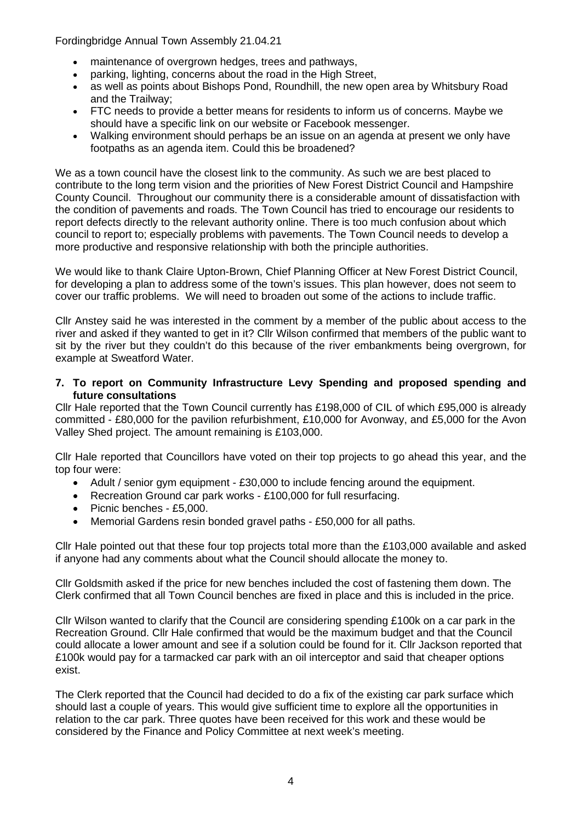- maintenance of overgrown hedges, trees and pathways,
- parking, lighting, concerns about the road in the High Street.
- as well as points about Bishops Pond, Roundhill, the new open area by Whitsbury Road and the Trailway;
- FTC needs to provide a better means for residents to inform us of concerns. Maybe we should have a specific link on our website or Facebook messenger.
- Walking environment should perhaps be an issue on an agenda at present we only have footpaths as an agenda item. Could this be broadened?

We as a town council have the closest link to the community. As such we are best placed to contribute to the long term vision and the priorities of New Forest District Council and Hampshire County Council. Throughout our community there is a considerable amount of dissatisfaction with the condition of pavements and roads. The Town Council has tried to encourage our residents to report defects directly to the relevant authority online. There is too much confusion about which council to report to; especially problems with pavements. The Town Council needs to develop a more productive and responsive relationship with both the principle authorities.

We would like to thank Claire Upton-Brown, Chief Planning Officer at New Forest District Council, for developing a plan to address some of the town's issues. This plan however, does not seem to cover our traffic problems. We will need to broaden out some of the actions to include traffic.

Cllr Anstey said he was interested in the comment by a member of the public about access to the river and asked if they wanted to get in it? Cllr Wilson confirmed that members of the public want to sit by the river but they couldn't do this because of the river embankments being overgrown, for example at Sweatford Water.

#### **7. To report on Community Infrastructure Levy Spending and proposed spending and future consultations**

Cllr Hale reported that the Town Council currently has £198,000 of CIL of which £95,000 is already committed - £80,000 for the pavilion refurbishment, £10,000 for Avonway, and £5,000 for the Avon Valley Shed project. The amount remaining is £103,000.

Cllr Hale reported that Councillors have voted on their top projects to go ahead this year, and the top four were:

- Adult / senior gym equipment £30,000 to include fencing around the equipment.
- Recreation Ground car park works £100,000 for full resurfacing.
- Picnic benches £5,000.
- Memorial Gardens resin bonded gravel paths £50,000 for all paths.

Cllr Hale pointed out that these four top projects total more than the £103,000 available and asked if anyone had any comments about what the Council should allocate the money to.

Cllr Goldsmith asked if the price for new benches included the cost of fastening them down. The Clerk confirmed that all Town Council benches are fixed in place and this is included in the price.

Cllr Wilson wanted to clarify that the Council are considering spending £100k on a car park in the Recreation Ground. Cllr Hale confirmed that would be the maximum budget and that the Council could allocate a lower amount and see if a solution could be found for it. Cllr Jackson reported that £100k would pay for a tarmacked car park with an oil interceptor and said that cheaper options exist.

The Clerk reported that the Council had decided to do a fix of the existing car park surface which should last a couple of years. This would give sufficient time to explore all the opportunities in relation to the car park. Three quotes have been received for this work and these would be considered by the Finance and Policy Committee at next week's meeting.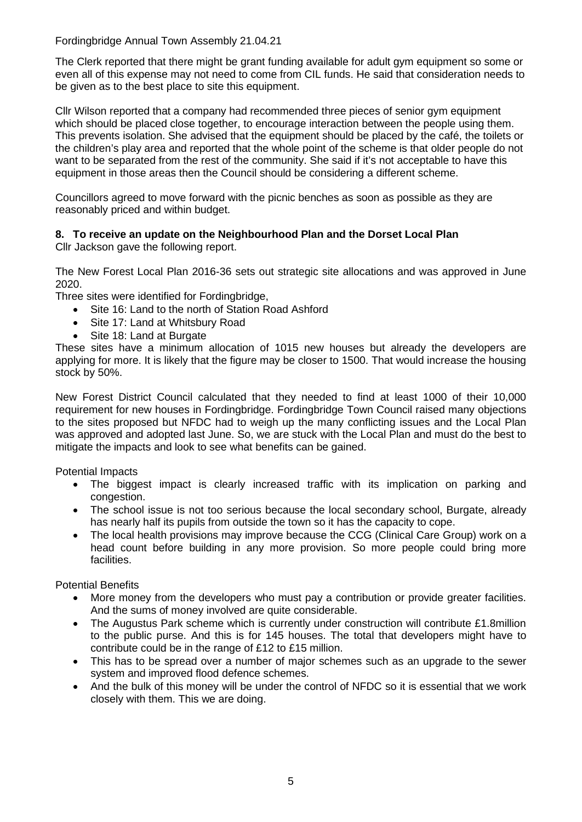The Clerk reported that there might be grant funding available for adult gym equipment so some or even all of this expense may not need to come from CIL funds. He said that consideration needs to be given as to the best place to site this equipment.

Cllr Wilson reported that a company had recommended three pieces of senior gym equipment which should be placed close together, to encourage interaction between the people using them. This prevents isolation. She advised that the equipment should be placed by the café, the toilets or the children's play area and reported that the whole point of the scheme is that older people do not want to be separated from the rest of the community. She said if it's not acceptable to have this equipment in those areas then the Council should be considering a different scheme.

Councillors agreed to move forward with the picnic benches as soon as possible as they are reasonably priced and within budget.

## **8. To receive an update on the Neighbourhood Plan and the Dorset Local Plan**

Cllr Jackson gave the following report.

The New Forest Local Plan 2016-36 sets out strategic site allocations and was approved in June 2020.

Three sites were identified for Fordingbridge,

- Site 16: Land to the north of Station Road Ashford
- Site 17: Land at Whitsbury Road
- Site 18: Land at Burgate

These sites have a minimum allocation of 1015 new houses but already the developers are applying for more. It is likely that the figure may be closer to 1500. That would increase the housing stock by 50%.

New Forest District Council calculated that they needed to find at least 1000 of their 10,000 requirement for new houses in Fordingbridge. Fordingbridge Town Council raised many objections to the sites proposed but NFDC had to weigh up the many conflicting issues and the Local Plan was approved and adopted last June. So, we are stuck with the Local Plan and must do the best to mitigate the impacts and look to see what benefits can be gained.

Potential Impacts

- The biggest impact is clearly increased traffic with its implication on parking and congestion.
- The school issue is not too serious because the local secondary school, Burgate, already has nearly half its pupils from outside the town so it has the capacity to cope.
- The local health provisions may improve because the CCG (Clinical Care Group) work on a head count before building in any more provision. So more people could bring more facilities.

Potential Benefits

- More money from the developers who must pay a contribution or provide greater facilities. And the sums of money involved are quite considerable.
- The Augustus Park scheme which is currently under construction will contribute £1.8million to the public purse. And this is for 145 houses. The total that developers might have to contribute could be in the range of £12 to £15 million.
- This has to be spread over a number of major schemes such as an upgrade to the sewer system and improved flood defence schemes.
- And the bulk of this money will be under the control of NFDC so it is essential that we work closely with them. This we are doing.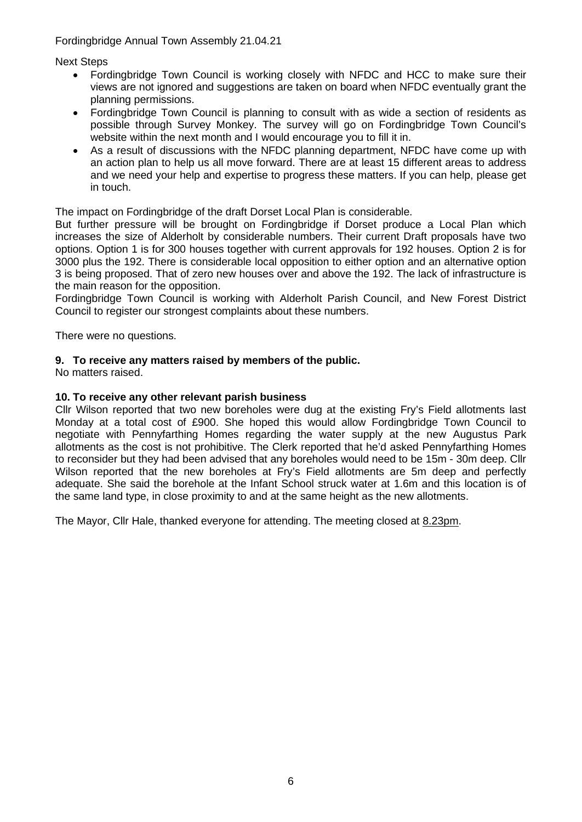Next Steps

- Fordingbridge Town Council is working closely with NFDC and HCC to make sure their views are not ignored and suggestions are taken on board when NFDC eventually grant the planning permissions.
- Fordingbridge Town Council is planning to consult with as wide a section of residents as possible through Survey Monkey. The survey will go on Fordingbridge Town Council's website within the next month and I would encourage you to fill it in.
- As a result of discussions with the NFDC planning department, NFDC have come up with an action plan to help us all move forward. There are at least 15 different areas to address and we need your help and expertise to progress these matters. If you can help, please get in touch.

The impact on Fordingbridge of the draft Dorset Local Plan is considerable.

But further pressure will be brought on Fordingbridge if Dorset produce a Local Plan which increases the size of Alderholt by considerable numbers. Their current Draft proposals have two options. Option 1 is for 300 houses together with current approvals for 192 houses. Option 2 is for 3000 plus the 192. There is considerable local opposition to either option and an alternative option 3 is being proposed. That of zero new houses over and above the 192. The lack of infrastructure is the main reason for the opposition.

Fordingbridge Town Council is working with Alderholt Parish Council, and New Forest District Council to register our strongest complaints about these numbers.

There were no questions.

## **9. To receive any matters raised by members of the public.**

No matters raised.

### **10. To receive any other relevant parish business**

Cllr Wilson reported that two new boreholes were dug at the existing Fry's Field allotments last Monday at a total cost of £900. She hoped this would allow Fordingbridge Town Council to negotiate with Pennyfarthing Homes regarding the water supply at the new Augustus Park allotments as the cost is not prohibitive. The Clerk reported that he'd asked Pennyfarthing Homes to reconsider but they had been advised that any boreholes would need to be 15m - 30m deep. Cllr Wilson reported that the new boreholes at Fry's Field allotments are 5m deep and perfectly adequate. She said the borehole at the Infant School struck water at 1.6m and this location is of the same land type, in close proximity to and at the same height as the new allotments.

The Mayor, Cllr Hale, thanked everyone for attending. The meeting closed at 8.23pm.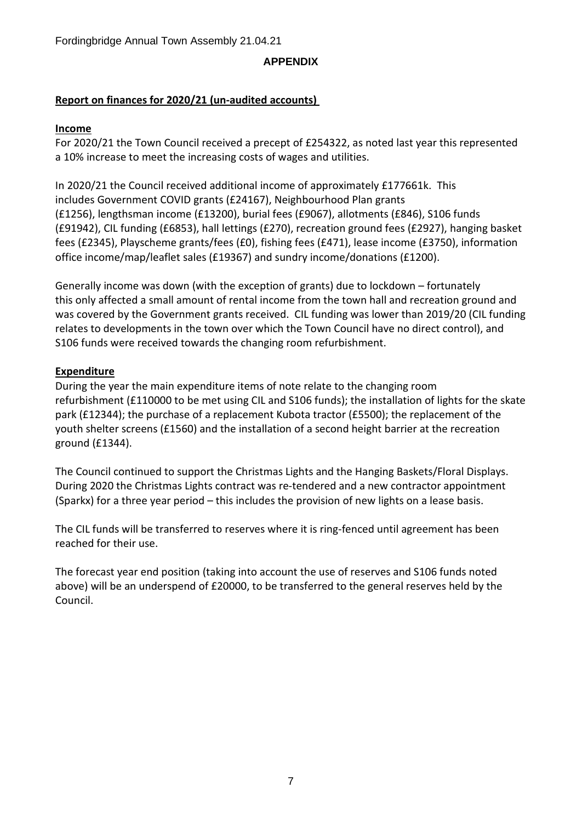## **APPENDIX**

# **Report on finances for 2020/21 (un-audited accounts)**

# **Income**

For 2020/21 the Town Council received a precept of £254322, as noted last year this represented a 10% increase to meet the increasing costs of wages and utilities.

In 2020/21 the Council received additional income of approximately £177661k. This includes Government COVID grants (£24167), Neighbourhood Plan grants (£1256), lengthsman income (£13200), burial fees (£9067), allotments (£846), S106 funds (£91942), CIL funding (£6853), hall lettings (£270), recreation ground fees (£2927), hanging basket fees (£2345), Playscheme grants/fees (£0), fishing fees (£471), lease income (£3750), information office income/map/leaflet sales (£19367) and sundry income/donations (£1200).

Generally income was down (with the exception of grants) due to lockdown – fortunately this only affected a small amount of rental income from the town hall and recreation ground and was covered by the Government grants received. CIL funding was lower than 2019/20 (CIL funding relates to developments in the town over which the Town Council have no direct control), and S106 funds were received towards the changing room refurbishment.

# **Expenditure**

During the year the main expenditure items of note relate to the changing room refurbishment (£110000 to be met using CIL and S106 funds); the installation of lights for the skate park (£12344); the purchase of a replacement Kubota tractor (£5500); the replacement of the youth shelter screens (£1560) and the installation of a second height barrier at the recreation ground (£1344).

The Council continued to support the Christmas Lights and the Hanging Baskets/Floral Displays. During 2020 the Christmas Lights contract was re-tendered and a new contractor appointment (Sparkx) for a three year period – this includes the provision of new lights on a lease basis.

The CIL funds will be transferred to reserves where it is ring-fenced until agreement has been reached for their use.

The forecast year end position (taking into account the use of reserves and S106 funds noted above) will be an underspend of £20000, to be transferred to the general reserves held by the Council.